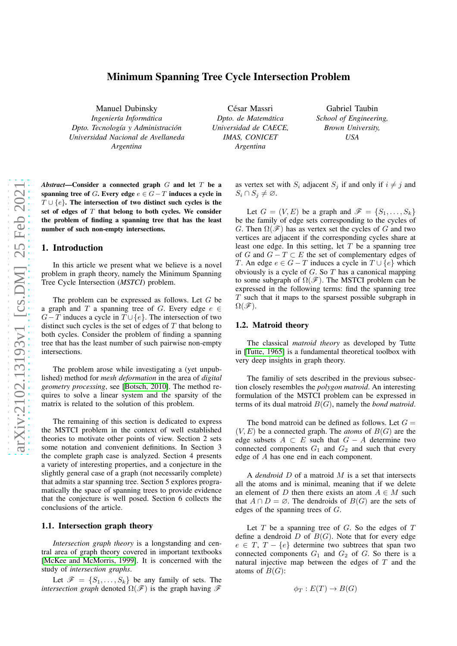# Minimum Spanning Tree Cycle Intersection Problem

Manuel Dubinsky

*Ingenier´ıa Informatica ´ Dpto. Tecnolog´ıa y Administracion´ Universidad Nacional de Avellaneda Argentina*

César Massri *Dpto. de Matematica ´ Universidad de CAECE, IMAS, CONICET Argentina*

Gabriel Taubin *School of Engineering, Brown University, USA*

*Abstract*—Consider a connected graph G and let T be a spanning tree of G. Every edge  $e \in G - T$  induces a cycle in  $T \cup \{e\}$ . The intersection of two distinct such cycles is the set of edges of  $T$  that belong to both cycles. We consider the problem of finding a spanning tree that has the least number of such non-empty intersections.

### 1. Introduction

In this article we present what we believe is a novel problem in graph theory, namely the Minimum Spanning Tree Cycle Intersection (*MSTCI*) problem.

The problem can be expressed as follows. Let  $G$  be a graph and T a spanning tree of G. Every edge  $e \in$  $G-T$  induces a cycle in  $T \cup \{e\}$ . The intersection of two distinct such cycles is the set of edges of  $T$  that belong to both cycles. Consider the problem of finding a spanning tree that has the least number of such pairwise non-empty intersections.

The problem arose while investigating a (yet unpublished) method for *mesh deformation* in the area of *digital geometry processing*, see [\[Botsch, 2010\]](#page-10-0). The method requires to solve a linear system and the sparsity of the matrix is related to the solution of this problem.

The remaining of this section is dedicated to express the MSTCI problem in the context of well established theories to motivate other points of view. Section 2 sets some notation and convenient definitions. In Section 3 the complete graph case is analyzed. Section 4 presents a variety of interesting properties, and a conjecture in the slightly general case of a graph (not necessarily complete) that admits a star spanning tree. Section 5 explores programatically the space of spanning trees to provide evidence that the conjecture is well posed. Section 6 collects the conclusions of the article.

# 1.1. Intersection graph theory

*Intersection graph theory* is a longstanding and central area of graph theory covered in important textbooks [\[McKee and McMorris, 1999\]](#page-10-1). It is concerned with the study of *intersection graphs*.

Let  $\mathscr{F} = \{S_1, \ldots, S_k\}$  be any family of sets. The *intersection graph* denoted  $\Omega(\mathscr{F})$  is the graph having  $\mathscr{F}$ 

as vertex set with  $S_i$  adjacent  $S_j$  if and only if  $i \neq j$  and  $S_i \cap S_j \neq \emptyset$ .

Let  $G = (V, E)$  be a graph and  $\mathscr{F} = \{S_1, \ldots, S_k\}$ be the family of edge sets corresponding to the cycles of G. Then  $\Omega(\mathscr{F})$  has as vertex set the cycles of G and two vertices are adjacent if the corresponding cycles share at least one edge. In this setting, let  $T$  be a spanning tree of G and  $G - T \subset E$  the set of complementary edges of T. An edge  $e \in G - T$  induces a cycle in  $T \cup \{e\}$  which obviously is a cycle of  $G$ . So  $T$  has a canonical mapping to some subgraph of  $\Omega(\mathscr{F})$ . The MSTCI problem can be expressed in the following terms: find the spanning tree  $T$  such that it maps to the sparsest possible subgraph in  $\Omega(\mathscr{F})$ .

# 1.2. Matroid theory

The classical *matroid theory* as developed by Tutte in [\[Tutte, 1965\]](#page-10-2) is a fundamental theoretical toolbox with very deep insights in graph theory.

The familiy of sets described in the previous subsection closely resembles the *polygon matroid*. An interesting formulation of the MSTCI problem can be expressed in terms of its dual matroid B(G), namely the *bond matroid*.

The bond matroid can be defined as follows. Let  $G =$  $(V, E)$  be a connected graph. The *atoms* of  $B(G)$  are the edge subsets  $A \subset E$  such that  $G - A$  determine two connected components  $G_1$  and  $G_2$  and such that every edge of A has one end in each component.

A *dendroid* D of a matroid M is a set that intersects all the atoms and is minimal, meaning that if we delete an element of D then there exists an atom  $A \in M$  such that  $A \cap D = \emptyset$ . The dendroids of  $B(G)$  are the sets of edges of the spanning trees of G.

Let  $T$  be a spanning tree of  $G$ . So the edges of  $T$ define a dendroid  $D$  of  $B(G)$ . Note that for every edge  $e \in T$ ,  $T - \{e\}$  determine two subtrees that span two connected components  $G_1$  and  $G_2$  of  $G$ . So there is a natural injective map between the edges of  $T$  and the atoms of  $B(G)$ :

$$
\phi_T : E(T) \to B(G)
$$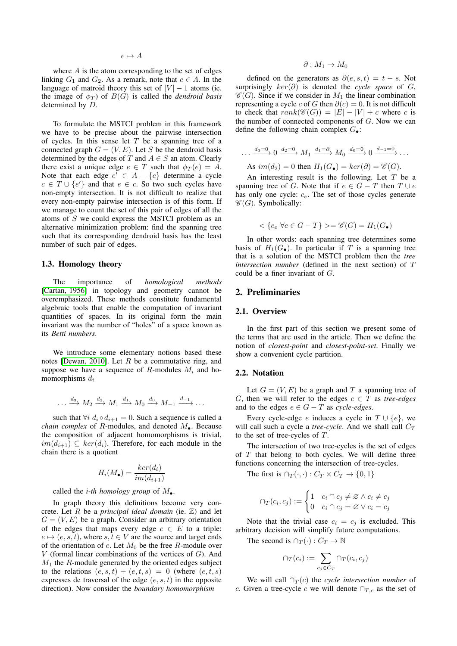where  $A$  is the atom corresponding to the set of edges linking  $G_1$  and  $G_2$ . As a remark, note that  $e \in A$ . In the language of matroid theory this set of  $|V| - 1$  atoms (ie. the image of  $\phi_T$ ) of  $B(G)$  is called the *dendroid basis* determined by D.

To formulate the MSTCI problem in this framework we have to be precise about the pairwise intersection of cycles. In this sense let  $T$  be a spanning tree of a connected graph  $G = (V, E)$ . Let S be the dendroid basis determined by the edges of T and  $A \in S$  an atom. Clearly there exist a unique edge  $e \in T$  such that  $\phi_T(e) = A$ . Note that each edge  $e' \in A - \{e\}$  determine a cycle  $c \in T \cup \{e'\}$  and that  $e \in c$ . So two such cycles have non-empty intersection. It is not difficult to realize that every non-empty pairwise intersection is of this form. If we manage to count the set of this pair of edges of all the atoms of S we could express the MSTCI problem as an alternative minimization problem: find the spanning tree such that its corresponding dendroid basis has the least number of such pair of edges.

# 1.3. Homology theory

The importance of *homological methods* [\[Cartan, 1956\]](#page-10-3) in topology and geometry cannot be overemphasized. These methods constitute fundamental algebraic tools that enable the computation of invariant quantities of spaces. In its original form the main invariant was the number of "holes" of a space known as its *Betti numbers*.

We introduce some elementary notions based these notes [\[Dewan, 2010\]](#page-10-4). Let  $R$  be a commutative ring, and suppose we have a sequence of R-modules  $M_i$  and homomorphisms  $d_i$ 

$$
\dots \xrightarrow{d_3} M_2 \xrightarrow{d_2} M_1 \xrightarrow{d_1} M_0 \xrightarrow{d_0} M_{-1} \xrightarrow{d_{-1}} \dots
$$

such that  $\forall i \ d_i \circ d_{i+1} = 0$ . Such a sequence is called a *chain complex* of R-modules, and denoted  $M_{\bullet}$ . Because the composition of adjacent homomorphisms is trivial,  $im(d_{i+1}) \subseteq ker(d_i)$ . Therefore, for each module in the chain there is a quotient

$$
H_i(M_{\bullet}) = \frac{ker(d_i)}{im(d_{i+1})}
$$

called the *i-th homology group* of  $M_{\bullet}$ .

In graph theory this definitions become very concrete. Let  $R$  be a *principal ideal domain* (ie.  $\mathbb{Z}$ ) and let  $G = (V, E)$  be a graph. Consider an arbitrary orientation of the edges that maps every edge  $e \in E$  to a triple:  $e \mapsto (e, s, t)$ , where  $s, t \in V$  are the source and target ends of the orientation of  $e$ . Let  $M_0$  be the free R-module over  $V$  (formal linear combinations of the vertices of  $G$ ). And  $M_1$  the  $R$ -module generated by the oriented edges subject to the relations  $(e, s, t) + (e, t, s) = 0$  (where  $(e, t, s)$ expresses de traversal of the edge  $(e, s, t)$  in the opposite direction). Now consider the *boundary homomorphism*

$$
\partial: M_1 \to M_0
$$

defined on the generators as  $\partial(e, s, t) = t - s$ . Not surprisingly  $ker(\partial)$  is denoted the *cycle space* of G,  $\mathscr{C}(G)$ . Since if we consider in  $M_1$  the linear combination representing a cycle c of G then  $\partial(c) = 0$ . It is not difficult to check that  $rank(\mathcal{C}(G)) = |E| - |V| + c$  where c is the number of connected components of  $G$ . Now we can define the following chain complex  $G_{\bullet}$ :

$$
\dots \xrightarrow{d_3=0} 0 \xrightarrow{d_2=0} M_1 \xrightarrow{d_1=\partial} M_0 \xrightarrow{d_0=0} 0 \xrightarrow{d_{-1}=0} \dots
$$
  
As  $im(d_2) = 0$  then  $H_1(G_{\bullet}) = ker(\partial) = \mathscr{C}(G)$ .

An interesting result is the following. Let  $T$  be a spanning tree of G. Note that if  $e \in G - T$  then  $T \cup e$ has only one cycle:  $c_e$ . The set of those cycles generate  $\mathscr{C}(G)$ . Symbolically:

$$
\langle \{c_e \; \forall e \in G - T\} \rangle = \mathscr{C}(G) = H_1(G_{\bullet})
$$

In other words: each spanning tree determines some basis of  $H_1(G_{\bullet})$ . In particular if T is a spanning tree that is a solution of the MSTCI problem then the *tree intersection number* (defined in the next section) of T could be a finer invariant of G.

### 2. Preliminaries

#### 2.1. Overview

In the first part of this section we present some of the terms that are used in the article. Then we define the notion of *closest-point* and *closest-point-set*. Finally we show a convenient cycle partition.

#### 2.2. Notation

Let  $G = (V, E)$  be a graph and T a spanning tree of G, then we will refer to the edges  $e \in T$  as *tree-edges* and to the edges  $e \in G - T$  as *cycle-edges*.

Every cycle-edge e induces a cycle in  $T \cup \{e\}$ , we will call such a cycle a *tree-cycle*. And we shall call  $C_T$ to the set of tree-cycles of  $T$ .

The intersection of two tree-cycles is the set of edges of  $T$  that belong to both cycles. We will define three functions concerning the intersection of tree-cycles.

The first is  $\cap_T(\cdot, \cdot) : C_T \times C_T \to \{0, 1\}$ 

$$
\cap_T(c_i, c_j) := \begin{cases} 1 & c_i \cap c_j \neq \varnothing \land c_i \neq c_j \\ 0 & c_i \cap c_j = \varnothing \lor c_i = c_j \end{cases}
$$

Note that the trivial case  $c_i = c_j$  is excluded. This arbitrary decision will simplify future computations.

The second is  $\cap_T(\cdot) : C_T \to \mathbb{N}$ 

$$
\cap_T(c_i) := \sum_{c_j \in C_T} \cap_T(c_i, c_j)
$$

We will call  $\bigcap_{T}(c)$  the *cycle intersection number* of c. Given a tree-cycle c we will denote  $\cap_{T,c}$  as the set of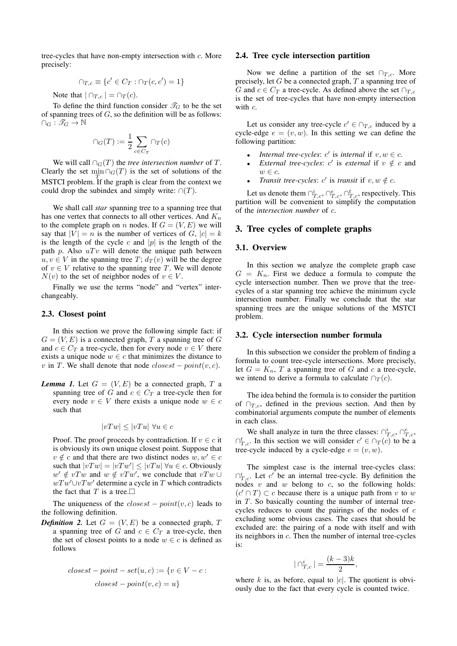tree-cycles that have non-empty intersection with c. More precisely:

$$
\cap_{T,c} \equiv \{c' \in C_T : \cap_T(c,c') = 1\}
$$

Note that  $|\bigcap_{T,c}| = \bigcap_T (c)$ .

To define the third function consider  $\mathcal{T}_G$  to be the set of spanning trees of  $G$ , so the definition will be as follows:  $\cap_G : \mathscr{T}_G \to \mathbb{N}$ 

$$
\cap_G(T):=\frac{1}{2}\sum_{c\in C_T}\cap_T(c)
$$

We will call  $\bigcap_G(T)$  the *tree intersection number* of T. Clearly the set  $\min_{\mathcal{G}} \bigcap_{G}(T)$  is the set of solutions of the MSTCI problem. If the graph is clear from the context we could drop the subindex and simply write:  $\cap(T)$ .

We shall call *star* spanning tree to a spanning tree that has one vertex that connects to all other vertices. And  $K_n$ to the complete graph on n nodes. If  $G = (V, E)$  we will say that  $|V| = n$  is the number of vertices of  $G, |c| = k$ is the length of the cycle c and |p| is the length of the path p. Also  $uTv$  will denote the unique path between  $u, v \in V$  in the spanning tree  $T$ ;  $d_T(v)$  will be the degree of  $v \in V$  relative to the spanning tree T. We will denote  $N(v)$  to the set of neighbor nodes of  $v \in V$ .

Finally we use the terms "node" and "vertex" interchangeably.

### 2.3. Closest point

In this section we prove the following simple fact: if  $G = (V, E)$  is a connected graph, T a spanning tree of G and  $c \in C_T$  a tree-cycle, then for every node  $v \in V$  there exists a unique node  $w \in c$  that minimizes the distance to v in T. We shall denote that node  $closest - point(v, c)$ .

*Lemma 1.* Let  $G = (V, E)$  be a connected graph, T a spanning tree of G and  $c \in C_T$  a tree-cycle then for every node  $v \in V$  there exists a unique node  $w \in c$ such that

$$
|vTw| \le |vTu| \,\,\forall u \in c
$$

Proof. The proof proceeds by contradiction. If  $v \in c$  it is obviously its own unique closest point. Suppose that  $v \notin c$  and that there are two distinct nodes  $w, w' \in c$ such that  $|vTw| = |vTw'| \le |vTu| \ \forall u \in c$ . Obviously  $w' \notin vTw$  and  $w \notin vTw'$ , we conclude that  $vTw \cup$  $wTw' \cup vTw'$  determine a cycle in T which contradicts the fact that T is a tree.  $\Box$ 

The uniqueness of the  $closest - point(v, c)$  leads to the following definition.

*Definition 2.* Let  $G = (V, E)$  be a connected graph, T a spanning tree of G and  $c \in C_T$  a tree-cycle, then the set of closest points to a node  $w \in c$  is defined as follows

$$
closest-point-set(u, c) := \{v \in V - c :
$$
  

$$
closest-point(v, c) = u\}
$$

#### 2.4. Tree cycle intersection partition

Now we define a partition of the set  $\cap_{T,c}$ . More precisely, let  $G$  be a connected graph,  $T$  a spanning tree of G and  $c \in C_T$  a tree-cycle. As defined above the set  $\cap_{T,c}$ is the set of tree-cycles that have non-empty intersection with  $c$ .

Let us consider any tree-cycle  $c' \in \bigcap_{T,c}$  induced by a cycle-edge  $e = (v, w)$ . In this setting we can define the following partition:

- *Internal tree-cycles:*  $c'$  is *internal* if  $v, w \in c$ .
- *External tree-cycles:*  $c'$  is *external* if  $v \notin c$  and  $w \in \mathfrak{c}$ .
- *Transit tree-cycles:*  $c'$  is *transit* if  $v, w \notin c$ .

Let us denote them  $\bigcap_{T,c}^i, \bigcap_{T,c}^e, \bigcap_{T,c}^t$ , respectively. This partition will be convenient to simplify the computation of the *intersection number* of c.

### 3. Tree cycles of complete graphs

### 3.1. Overview

In this section we analyze the complete graph case  $G = K_n$ . First we deduce a formula to compute the cycle intersection number. Then we prove that the treecycles of a star spanning tree achieve the minimum cycle intersection number. Finally we conclude that the star spanning trees are the unique solutions of the MSTCI problem.

#### 3.2. Cycle intersection number formula

In this subsection we consider the problem of finding a formula to count tree-cycle intersections. More precisely, let  $G = K_n$ , T a spanning tree of G and c a tree-cycle, we intend to derive a formula to calculate  $\cap_T(c)$ .

The idea behind the formula is to consider the partition of  $\cap_{T,c}$ , defined in the previous section. And then by combinatorial arguments compute the number of elements in each class.

We shall analyze in turn the three classes:  $\bigcap_{T,c}^i$ ,  $\bigcap_{T,c}^e$ ,  $\bigcap_{T,c}^t$ . In this section we will consider  $c' \in \bigcap_T(c)$  to be a tree-cycle induced by a cycle-edge  $e = (v, w)$ .

The simplest case is the internal tree-cycles class:  $\bigcap_{T,c}^i$ . Let c' be an internal tree-cycle. By definition the nodes v and w belong to c, so the following holds:  $(c' \cap T) \subset c$  because there is a unique path from v to w in  $T$ . So basically counting the number of internal treecycles reduces to count the pairings of the nodes of c excluding some obvious cases. The cases that should be excluded are: the pairing of a node with itself and with its neighbors in c. Then the number of internal tree-cycles is:

$$
|\bigcap_{T,c}^i| = \frac{(k-3)k}{2},
$$

where  $k$  is, as before, equal to  $|c|$ . The quotient is obviously due to the fact that every cycle is counted twice.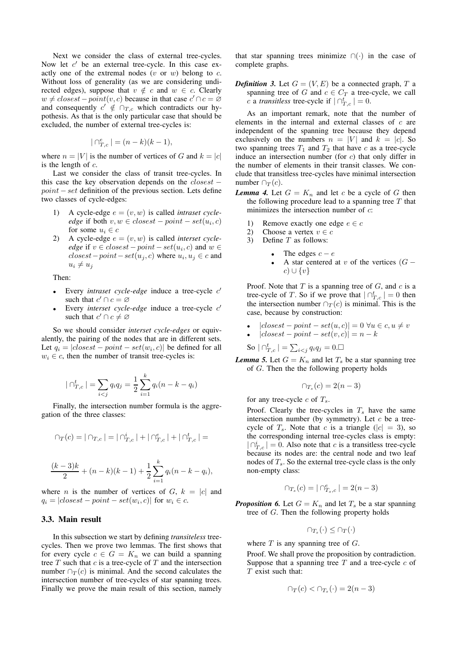Next we consider the class of external tree-cycles. Now let  $c'$  be an external tree-cycle. In this case exactly one of the extremal nodes  $(v \text{ or } w)$  belong to c. Without loss of generality (as we are considering undirected edges), suppose that  $v \notin c$  and  $w \in c$ . Clearly  $w \neq closest-point(v, c)$  because in that case  $c' \cap c = \emptyset$ and consequently  $c' \notin \bigcap_{T,c}$  which contradicts our hypothesis. As that is the only particular case that should be excluded, the number of external tree-cycles is:

$$
| \bigcap_{T,c}^{e} | = (n-k)(k-1),
$$

where  $n = |V|$  is the number of vertices of G and  $k = |c|$ is the length of  $c$ .

Last we consider the class of transit tree-cycles. In this case the key observation depends on the  $closest$  $point - set$  definition of the previous section. Lets define two classes of cycle-edges:

- A cycle-edge  $e = (v, w)$  is called *intraset cycle* $edge$  if both  $v, w \in closest-point-set(u_i, c)$ for some  $u_i \in c$
- A cycle-edge  $e = (v, w)$  is called *interset cycleedge* if  $v \in closest-point-set(u_i, c)$  and  $w \in$  $closest-point-set(u_j, c)$  where  $u_i, u_j \in c$  and  $u_i \neq u_j$

Then:

- Every *intraset cycle-edge* induce a tree-cycle  $c'$ such that  $c' \cap c = \emptyset$
- Every *interset cycle-edge* induce a tree-cycle  $c'$ such that  $c' \cap c \neq \emptyset$

So we should consider *interset cycle-edges* or equivalently, the pairing of the nodes that are in different sets. Let  $q_i = |closest - point - set(w_i, c)|$  be defined for all  $w_i \in c$ , then the number of transit tree-cycles is:

$$
|\bigcap_{T,c}^t| = \sum_{i < j} q_i q_j = \frac{1}{2} \sum_{i=1}^k q_i (n - k - q_i)
$$

Finally, the intersection number formula is the aggregation of the three classes:

$$
\cap_T(c)=|\cap_{T,c}|=|\cap_{T,c}^i|+|\cap_{T,c}^e|+|\cap_{T,c}^t|=
$$

$$
\frac{(k-3)k}{2} + (n-k)(k-1) + \frac{1}{2} \sum_{i=1}^{k} q_i(n-k-q_i),
$$

where *n* is the number of vertices of  $G, k = |c|$  and  $q_i = |closest - point - set(w_i, c)|$  for  $w_i \in c$ .

### 3.3. Main result

In this subsection we start by defining *transiteless* treecycles. Then we prove two lemmas. The first shows that for every cycle  $c \in G = K_n$  we can build a spanning tree  $T$  such that  $c$  is a tree-cycle of  $T$  and the intersection number  $\cap_T(c)$  is minimal. And the second calculates the intersection number of tree-cycles of star spanning trees. Finally we prove the main result of this section, namely

that star spanning trees minimize  $\cap$ (·) in the case of complete graphs.

**Definition 3.** Let  $G = (V, E)$  be a connected graph, T a spanning tree of G and  $c \in C_T$  a tree-cycle, we call *c* a *transitless* tree-cycle if  $| \bigcap_{T,c}^t | = 0$ .

As an important remark, note that the number of elements in the internal and external classes of c are independent of the spanning tree because they depend exclusively on the numbers  $n = |V|$  and  $k = |c|$ . So two spanning trees  $T_1$  and  $T_2$  that have c as a tree-cycle induce an intersection number (for  $c$ ) that only differ in the number of elements in their transit classes. We conclude that transitless tree-cycles have minimal intersection number  $\bigcap_{T} (c)$ .

- <span id="page-3-0"></span>*Lemma 4.* Let  $G = K_n$  and let c be a cycle of G then the following procedure lead to a spanning tree  $T$  that minimizes the intersection number of  $c$ :
	- 1) Remove exactly one edge  $e \in c$
	- 2) Choose a vertex  $v \in c$
	- 3) Define  $T$  as follows:
		- The edges  $c e$ 
			- A star centered at v of the vertices  $(G$  $c) \cup \{v\}$

Proof. Note that  $T$  is a spanning tree of  $G$ , and  $c$  is a tree-cycle of T. So if we prove that  $|\bigcap_{T,c}^t| = 0$  then the intersection number  $\cap_T(c)$  is minimal. This is the case, because by construction:

- $|closest point set(u, c)| = 0 \ \forall u \in c, u \neq v$
- $|closest point set(v, c)| = n k$

So  $|\bigcap_{T,c}^t| = \sum_{i < j} q_i q_j = 0.$ 

*Lemma 5.* Let  $G = K_n$  and let  $T_s$  be a star spanning tree of G. Then the the following property holds

$$
\cap_{T_s}(c) = 2(n-3)
$$

for any tree-cycle  $c$  of  $T_s$ .

Proof. Clearly the tree-cycles in  $T<sub>s</sub>$  have the same intersection number (by symmetry). Let  $c$  be a treecycle of  $T_s$ . Note that c is a triangle ( $|c| = 3$ ), so the corresponding internal tree-cycles class is empty:  $|\bigcap_{T,c}^{i}| = 0$ . Also note that c is a transitless tree-cycle because its nodes are: the central node and two leaf nodes of  $T_s$ . So the external tree-cycle class is the only non-empty class:

$$
\cap_{T_s}(c)=|\cap_{T_s,c}^e|=2(n-3)
$$

<span id="page-3-1"></span>**Proposition 6.** Let  $G = K_n$  and let  $T_s$  be a star spanning tree of G. Then the following property holds

$$
\cap_{T_s}(\cdot) \leq \cap_T(\cdot)
$$

where  $T$  is any spanning tree of  $G$ .

Proof. We shall prove the proposition by contradiction. Suppose that a spanning tree  $T$  and a tree-cycle  $c$  of  $T$  exist such that:

$$
\cap_T(c) < \cap_{T_s}(\cdot) = 2(n-3)
$$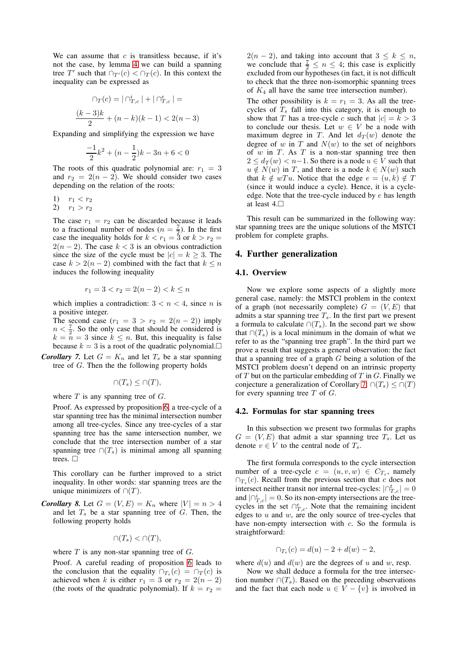We can assume that  $c$  is transitless because, if it's not the case, by lemma [4](#page-3-0) we can build a spanning tree T' such that  $\bigcap_{T'} (c) < \bigcap_T (c)$ . In this context the inequality can be expressed as

$$
\bigcap_{T} (c) = \big| \bigcap_{T,c}^{i} \big| + \big| \bigcap_{T,c}^{e} \big| =
$$
  

$$
\frac{(k-3)k}{2} + (n-k)(k-1) < 2(n-3)
$$

Expanding and simplifying the expression we have

$$
\frac{-1}{2}k^2 + (n - \frac{1}{2})k - 3n + 6 < 0
$$

The roots of this quadratic polynomial are:  $r_1 = 3$ and  $r_2 = 2(n-2)$ . We should consider two cases depending on the relation of the roots:

1)  $r_1 < r_2$ 

2)  $r_1 > r_2$ 

The case  $r_1 = r_2$  can be discarded because it leads to a fractional number of nodes  $(n = \frac{7}{2})$ . In the first case the inequality holds for  $k < r_1 = 3$  or  $k > r_2 =$  $2(n-2)$ . The case  $k < 3$  is an obvious contradiction since the size of the cycle must be  $|c| = k \geq 3$ . The case  $k > 2(n-2)$  combined with the fact that  $k \leq n$ induces the following inequality

$$
r_1 = 3 < r_2 = 2(n-2) < k \le n
$$

which implies a contradiction:  $3 < n < 4$ , since *n* is a positive integer.

The second case  $(r_1 = 3 > r_2 = 2(n-2))$  imply  $n < \frac{7}{2}$ . So the only case that should be considered is  $k = n = 3$  since  $k \leq n$ . But, this inequality is false because  $k = 3$  is a root of the quadratic polynomial.

<span id="page-4-0"></span>*Corollary 7.* Let  $G = K_n$  and let  $T_s$  be a star spanning tree of G. Then the the following property holds

$$
\cap (T_s) \leq \cap (T),
$$

where  $T$  is any spanning tree of  $G$ .

Proof. As expressed by proposition [6,](#page-3-1) a tree-cycle of a star spanning tree has the minimal intersection number among all tree-cycles. Since any tree-cycles of a star spanning tree has the same intersection number, we conclude that the tree intersection number of a star spanning tree ∩( $T_s$ ) is minimal among all spanning trees.  $\Box$ 

This corollary can be further improved to a strict inequality. In other words: star spanning trees are the unique minimizers of  $\cap$ (*T*).

<span id="page-4-1"></span>*Corollary 8.* Let  $G = (V, E) = K_n$  where  $|V| = n > 4$ and let  $T<sub>s</sub>$  be a star spanning tree of  $G$ . Then, the following property holds

$$
\cap (T_s) < \cap (T),
$$

where  $T$  is any non-star spanning tree of  $G$ .

Proof. A careful reading of proposition [6](#page-3-1) leads to the conclusion that the equality  $\bigcap_{T_s}(c) = \bigcap_T(c)$  is achieved when k is either  $r_1 = 3$  or  $r_2 = 2(n-2)$ (the roots of the quadratic polynomial). If  $k = r_2$  =

 $2(n-2)$ , and taking into account that  $3 \leq k \leq n$ , we conclude that  $\frac{7}{2} \le n \le 4$ ; this case is explicitly excluded from our hypotheses (in fact, it is not difficult to check that the three non-isomorphic spanning trees of  $K_4$  all have the same tree intersection number).

The other possibility is  $k = r_1 = 3$ . As all the treecycles of  $T<sub>s</sub>$  fall into this category, it is enough to show that T has a tree-cycle c such that  $|c| = k > 3$ to conclude our thesis. Let  $w \in V$  be a node with maximum degree in T. And let  $d_T(w)$  denote the degree of w in T and  $N(w)$  to the set of neighbors of  $w$  in  $T$ . As  $T$  is a non-star spanning tree then  $2 \leq d_T(w) < n-1$ . So there is a node  $u \in V$  such that  $u \notin N(w)$  in T, and there is a node  $k \in N(w)$  such that  $k \notin wTu$ . Notice that the edge  $e = (u, k) \notin T$ (since it would induce a cycle). Hence, it is a cycleedge. Note that the tree-cycle induced by  $e$  has length at least 4.

This result can be summarized in the following way: star spanning trees are the unique solutions of the MSTCI problem for complete graphs.

#### 4. Further generalization

#### 4.1. Overview

Now we explore some aspects of a slightly more general case, namely: the MSTCI problem in the context of a graph (not necessarily complete)  $G = (V, E)$  that admits a star spanning tree  $T_s$ . In the first part we present a formula to calculate  $\cap (T_s)$ . In the second part we show that  $\cap (T_s)$  is a local minimum in the domain of what we refer to as the "spanning tree graph". In the third part we prove a result that suggests a general observation: the fact that a spanning tree of a graph  $G$  being a solution of the MSTCI problem doesn't depend on an intrinsic property of  $T$  but on the particular embedding of  $T$  in  $G$ . Finally we conjecture a generalization of Corollary [7:](#page-4-0)  $\cap (T_s) \leq \cap (T)$ for every spanning tree  $T$  of  $G$ .

#### 4.2. Formulas for star spanning trees

In this subsection we present two formulas for graphs  $G = (V, E)$  that admit a star spanning tree  $T_s$ . Let us denote  $v \in V$  to the central node of  $T_s$ .

The first formula corresponds to the cycle intersection number of a tree-cycle  $c = (u, v, w) \in C_{T_s}$ , namely  $\bigcap_{T_s}(c)$ . Recall from the previous section that c does not intersect neither transit nor internal tree-cycles:  $|\bigcap_{T,c}^t| = 0$ and  $|\bigcap_{T,c}^{i}| = 0$ . So its non-empty intersections are the treecycles in the set  $\bigcap_{T,c}^e$ . Note that the remaining incident edges to  $u$  and  $w$ , are the only source of tree-cycles that have non-empty intersection with c. So the formula is straightforward:

$$
\cap_{T_s}(c) = d(u) - 2 + d(w) - 2,
$$

where  $d(u)$  and  $d(w)$  are the degrees of u and w, resp.

Now we shall deduce a formula for the tree intersection number  $\cap (T_s)$ . Based on the preceding observations and the fact that each node  $u \in V - \{v\}$  is involved in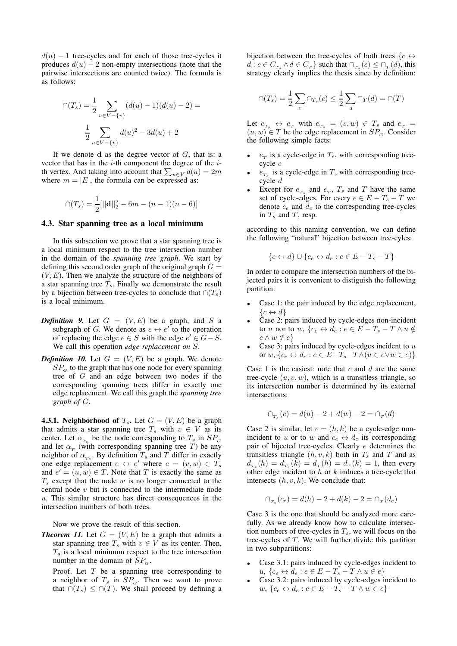$d(u) - 1$  tree-cycles and for each of those tree-cycles it produces  $d(u) - 2$  non-empty intersections (note that the pairwise intersections are counted twice). The formula is as follows:

$$
\bigcap (T_s) = \frac{1}{2} \sum_{u \in V - \{v\}} (d(u) - 1)(d(u) - 2) =
$$

$$
\frac{1}{2} \sum_{u \in V - \{v\}} d(u)^2 - 3d(u) + 2
$$

If we denote d as the degree vector of  $G$ , that is: a vector that has in the  $i$ -th component the degree of the  $i$ th vertex. And taking into account that  $\sum_{u \in V} d(u) = 2m$ where  $m = |E|$ , the formula can be expressed as:

$$
\bigcap (T_s) = \frac{1}{2} [||\mathbf{d}||_2^2 - 6m - (n-1)(n-6)]
$$

#### 4.3. Star spanning tree as a local minimum

In this subsection we prove that a star spanning tree is a local minimum respect to the tree intersection number in the domain of the *spanning tree graph*. We start by defining this second order graph of the original graph  $G =$  $(V, E)$ . Then we analyze the structure of the neighbors of a star spanning tree  $T_s$ . Finally we demonstrate the result by a bijection between tree-cycles to conclude that  $\cap (T_s)$ is a local minimum.

- **Definition 9.** Let  $G = (V, E)$  be a graph, and S a subgraph of G. We denote as  $e \leftrightarrow e'$  to the operation of replacing the edge  $e \in S$  with the edge  $e' \in G - S$ . We call this operation *edge replacement on* S.
- *Definition 10.* Let  $G = (V, E)$  be a graph. We denote  $SP<sub>G</sub>$  to the graph that has one node for every spanning tree of G and an edge between two nodes if the corresponding spanning trees differ in exactly one edge replacement. We call this graph the *spanning tree graph of* G.

**4.3.1. Neighborhood of**  $T_s$ . Let  $G = (V, E)$  be a graph that admits a star spanning tree  $T_s$  with  $v \in V$  as its center. Let  $\alpha_{T_s}$  be the node corresponding to  $T_s$  in  $SP_{\alpha}$ and let  $\alpha_T$  (with corresponding spanning tree T) be any neighbor of  $\alpha_{T_s}$ . By definition  $T_s$  and T differ in exactly one edge replacement  $e \leftrightarrow e'$  where  $e = (v, w) \in T_s$ and  $e' = (u, w) \in T$ . Note that T is exactly the same as  $T<sub>s</sub>$  except that the node w is no longer connected to the central node v but is connected to the intermediate node  $u$ . This similar structure has direct consequences in the intersection numbers of both trees.

Now we prove the result of this section.

<span id="page-5-0"></span>**Theorem 11.** Let  $G = (V, E)$  be a graph that admits a star spanning tree  $T_s$  with  $v \in V$  as its center. Then,  $T<sub>s</sub>$  is a local minimum respect to the tree intersection number in the domain of  $SP<sub>G</sub>$ .

Proof. Let  $T$  be a spanning tree corresponding to a neighbor of  $T_s$  in  $SP_G$ . Then we want to prove that  $\cap (T_s) \leq \cap (T)$ . We shall proceed by defining a bijection between the tree-cycles of both trees  $\{c \leftrightarrow$  $d: c \in C_{T_s} \wedge d \in C_T$  such that  $\cap_{T_s}(c) \leq \cap_T(d)$ , this strategy clearly implies the thesis since by definition:

$$
\cap (T_s) = \frac{1}{2} \sum_c \cap_{T_s}(c) \leq \frac{1}{2} \sum_d \cap_T(d) = \cap (T)
$$

Let  $e_{T_s} \leftrightarrow e_{T}$  with  $e_{T_s} = (v, w) \in T_s$  and  $e_{T_s} =$  $(u, w) \in T$  be the edge replacement in  $SP<sub>G</sub>$ . Consider the following simple facts:

- $e_T$  is a cycle-edge in  $T_s$ , with corresponding treecycle c
- $e_{T_s}$  is a cycle-edge in T, with corresponding treecycle d
- Except for  $e_{T_s}$  and  $e_T$ ,  $T_s$  and  $T$  have the same set of cycle-edges. For every  $e \in E - T_s - T$  we denote  $c_e$  and  $d_e$  to the corresponding tree-cycles in  $T_s$  and  $T_s$ , resp.

according to this naming convention, we can define the following "natural" bijection between tree-cyles:

$$
\{c \leftrightarrow d\} \cup \{c_e \leftrightarrow d_e : e \in E - T_s - T\}
$$

In order to compare the intersection numbers of the bijected pairs it is convenient to distiguish the following partition:

- Case 1: the pair induced by the edge replacement,  ${c \leftrightarrow d}$
- Case 2: pairs induced by cycle-edges non-incident to u nor to w,  $\{c_e \leftrightarrow d_e : e \in E - T_s - T \wedge u \notin E\}$  $e \wedge w \notin e$
- Case 3: pairs induced by cycle-edges incident to  $u$ or  $w, \{c_e \leftrightarrow d_e : e \in E - T_s - T \wedge (u \in e \vee w \in e)\}\$

Case 1 is the easiest: note that  $c$  and  $d$  are the same tree-cycle  $(u, v, w)$ , which is a transitless triangle, so its intersection number is determined by its external intersections:

$$
\cap_{T_s}(c) = d(u) - 2 + d(w) - 2 = \cap_T(d)
$$

Case 2 is similar, let  $e = (h, k)$  be a cycle-edge nonincident to u or to w and  $c_e \leftrightarrow d_e$  its corresponding pair of bijected tree-cycles. Clearly e determines the transitless triangle  $(h, v, k)$  both in  $T_s$  and T and as  $d_{T_s}(h) = d_{T_s}(k) = d_T(h) = d_T(k) = 1$ , then every other edge incident to  $h$  or  $k$  induces a tree-cycle that intersects  $(h, v, k)$ . We conclude that:

$$
\cap_{T_s}(c_e) = d(h) - 2 + d(k) - 2 = \cap_T(d_e)
$$

Case 3 is the one that should be analyzed more carefully. As we already know how to calculate intersection numbers of tree-cycles in  $T_s$ , we will focus on the tree-cycles of  $T$ . We will further divide this partition in two subpartitions:

- Case 3.1: pairs induced by cycle-edges incident to u,  $\{c_e \leftrightarrow d_e : e \in E - T_s - T \wedge u \in e\}$
- Case 3.2: pairs induced by cycle-edges incident to w,  $\{c_e \leftrightarrow d_e : e \in E - T_s - T \wedge w \in e\}$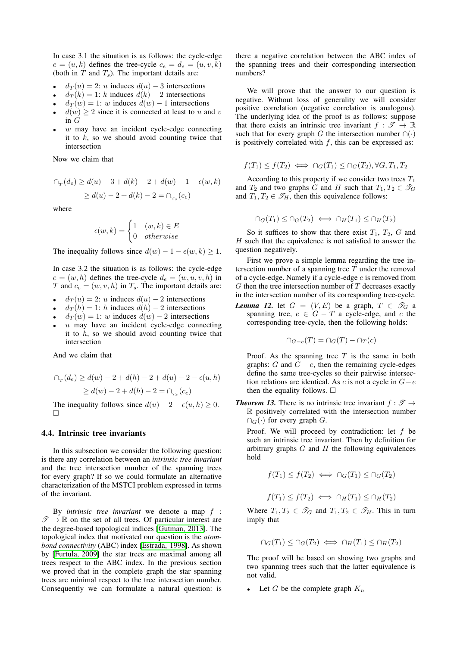In case 3.1 the situation is as follows: the cycle-edge  $e = (u, k)$  defines the tree-cycle  $c_e = d_e = (u, v, k)$ (both in  $T$  and  $T_s$ ). The important details are:

- $d_T(u) = 2$ : u induces  $d(u) 3$  intersections
- $d_T(k) = 1$ : k induces  $d(k) 2$  intersections
- $d_T(w) = 1$ : w induces  $d(w) 1$  intersections
- $d(w) \geq 2$  since it is connected at least to u and v in G
- $w$  may have an incident cycle-edge connecting it to  $k$ , so we should avoid counting twice that intersection

Now we claim that

$$
\bigcap_{T} (d_e) \ge d(u) - 3 + d(k) - 2 + d(w) - 1 - \epsilon(w, k)
$$
  
 
$$
\ge d(u) - 2 + d(k) - 2 = \bigcap_{T_s} (c_e)
$$

where

$$
\epsilon(w,k) = \begin{cases} 1 & (w,k) \in E \\ 0 & otherwise \end{cases}
$$

The inequality follows since  $d(w) - 1 - \epsilon(w, k) \ge 1$ .

In case 3.2 the situation is as follows: the cycle-edge  $e = (w, h)$  defines the tree-cycle  $d_e = (w, u, v, h)$  in T and  $c_e = (w, v, h)$  in  $T_s$ . The important details are:

- $d_{\mathcal{I}}(u) = 2$ : u induces  $d(u) 2$  intersections
- $d_T(h) = 1$ : h induces  $d(h) 2$  intersections
- $d_T(w) = 1$ : w induces  $d(w) 2$  intersections
- $u$  may have an incident cycle-edge connecting it to  $h$ , so we should avoid counting twice that intersection

And we claim that

$$
\bigcap_{T} (d_e) \ge d(w) - 2 + d(h) - 2 + d(u) - 2 - \epsilon(u, h)
$$
  
\n
$$
\ge d(w) - 2 + d(h) - 2 = \bigcap_{T_s} (c_e)
$$

The inequality follows since  $d(u) - 2 - \epsilon(u, h) \geq 0$ .  $\Box$ 

# 4.4. Intrinsic tree invariants

In this subsection we consider the following question: is there any correlation between an *intrinsic tree invariant* and the tree intersection number of the spanning trees for every graph? If so we could formulate an alternative characterization of the MSTCI problem expressed in terms of the invariant.

By *intrinsic tree invariant* we denote a map f :  $\mathscr{T} \to \mathbb{R}$  on the set of all trees. Of particular interest are the degree-based topological indices [\[Gutman, 2013\]](#page-10-5). The topological index that motivated our question is the *atombond connectivity* (ABC) index [\[Estrada, 1998\]](#page-10-6). As shown by [\[Furtula, 2009\]](#page-10-7) the star trees are maximal among all trees respect to the ABC index. In the previous section we proved that in the complete graph the star spanning trees are minimal respect to the tree intersection number. Consequently we can formulate a natural question: is

there a negative correlation between the ABC index of the spanning trees and their corresponding intersection numbers?

We will prove that the answer to our question is negative. Without loss of generality we will consider positive correlation (negative correlation is analogous). The underlying idea of the proof is as follows: suppose that there exists an intrinsic tree invariant  $f : \mathscr{T} \to \mathbb{R}$ such that for every graph G the intersection number  $\cap(\cdot)$ is positively correlated with  $f$ , this can be expressed as:

$$
f(T_1) \le f(T_2) \iff \cap_G(T_1) \le \cap_G(T_2), \forall G, T_1, T_2
$$

According to this property if we consider two trees  $T_1$ and  $T_2$  and two graphs G and H such that  $T_1, T_2 \in \mathcal{T}_G$ and  $T_1, T_2 \in \mathcal{T}_H$ , then this equivalence follows:

$$
\cap_G(T_1) \leq \cap_G(T_2) \iff \cap_H(T_1) \leq \cap_H(T_2)
$$

So it suffices to show that there exist  $T_1$ ,  $T_2$ ,  $G$  and  $H$  such that the equivalence is not satisfied to answer the question negatively.

First we prove a simple lemma regarding the tree intersection number of a spanning tree  $T$  under the removal of a cycle-edge. Namely if a cycle-edge  $e$  is removed from  $G$  then the tree intersection number of  $T$  decreases exactly in the intersection number of its corresponding tree-cycle.

<span id="page-6-0"></span>*Lemma 12.* let  $G = (V, E)$  be a graph,  $T \in \mathcal{T}_G$  a spanning tree,  $e \in G - T$  a cycle-edge, and c the corresponding tree-cycle, then the following holds:

$$
\cap_{G-e}(T) = \cap_G(T) - \cap_T(c)
$$

Proof. As the spanning tree  $T$  is the same in both graphs: G and  $\overline{G} - e$ , then the remaining cycle-edges define the same tree-cycles so their pairwise intersection relations are identical. As c is not a cycle in  $G-e$ then the equality follows.  $\Box$ 

**Theorem 13.** There is no intrinsic tree invariant  $f : \mathcal{T} \rightarrow$ R positively correlated with the intersection number  $\cap_G(\cdot)$  for every graph G.

Proof. We will proceed by contradiction: let  $f$  be such an intrinsic tree invariant. Then by definition for arbitrary graphs  $G$  and  $H$  the following equivalences hold

$$
f(T_1) \le f(T_2) \iff \cap_G(T_1) \le \cap_G(T_2)
$$

$$
f(T_1) \le f(T_2) \iff \cap_H(T_1) \le \cap_H(T_2)
$$

Where  $T_1, T_2 \in \mathcal{T}_G$  and  $T_1, T_2 \in \mathcal{T}_H$ . This in turn imply that

$$
\cap_G(T_1) \leq \cap_G(T_2) \iff \cap_H(T_1) \leq \cap_H(T_2)
$$

The proof will be based on showing two graphs and two spanning trees such that the latter equivalence is not valid.

Let G be the complete graph  $K_n$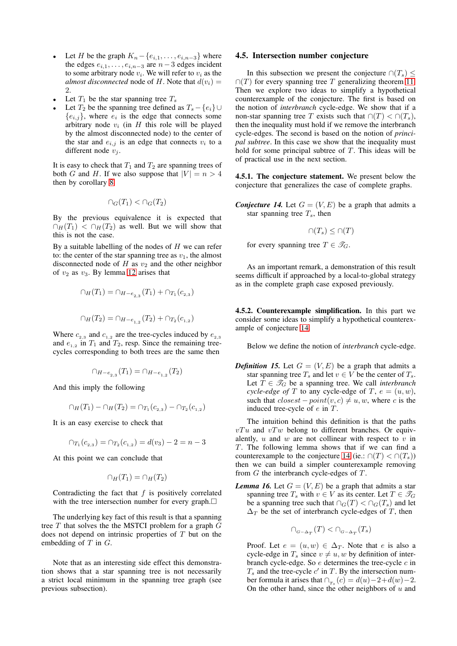- Let H be the graph  $K_n \{e_{i,1}, \ldots, e_{i,n-3}\}\$  where the edges  $e_{i,1}, \ldots, e_{i,n-3}$  are  $n-3$  edges incident to some arbitrary node  $v_i$ . We will refer to  $v_i$  as the *almost disconnected* node of H. Note that  $d(v_i)$  =  $\mathcal{D}$
- Let  $T_1$  be the star spanning tree  $T_s$
- Let  $T_2$  be the spanning tree defined as  $T_s \{e_i\} \cup$  ${e_{i,j}}$ , where  $e_i$  is the edge that connects some arbitrary node  $v_i$  (in H this role will be played by the almost disconnected node) to the center of the star and  $e_{i,j}$  is an edge that connects  $v_i$  to a different node  $v_i$ .

It is easy to check that  $T_1$  and  $T_2$  are spanning trees of both G and H. If we also suppose that  $|V| = n > 4$ then by corollary [8](#page-4-1)

$$
\cap_G(T_1) < \cap_G(T_2)
$$

By the previous equivalence it is expected that  $\cap$ <sub>H</sub>(T<sub>1</sub>) <  $\cap$ <sub>H</sub>(T<sub>2</sub>) as well. But we will show that this is not the case.

By a suitable labelling of the nodes of  $H$  we can refer to: the center of the star spanning tree as  $v_1$ , the almost disconnected node of  $H$  as  $v_2$  and the other neighbor of  $v_2$  as  $v_3$ . By lemma [12](#page-6-0) arises that

$$
\cap_H(T_1) = \cap_{H - e_{2,3}} (T_1) + \cap_{T_1} (c_{2,3})
$$
  

$$
\cap_H(T_2) = \cap_{H - e_{1,2}} (T_2) + \cap_{T_2} (c_{1,2})
$$

Where  $c_{2,3}$  and  $c_{1,2}$  are the tree-cycles induced by  $e_{2,3}$ and  $e_{1,2}$  in  $T_1$  and  $T_2$ , resp. Since the remaining treecycles corresponding to both trees are the same then

$$
\cap_{H-e_{2,3}}(T_1)=\cap_{H-e_{1,2}}(T_2)
$$

And this imply the following

$$
\cap_H(T_1) - \cap_H(T_2) = \cap_{T_1}(c_{2,3}) - \cap_{T_2}(c_{1,2})
$$

It is an easy exercise to check that

$$
\cap_{T_1}(c_{2,3}) = \cap_{T_2}(c_{1,2}) = d(v_3) - 2 = n - 3
$$

At this point we can conclude that

$$
\cap_H(T_1) = \cap_H(T_2)
$$

Contradicting the fact that  $f$  is positively correlated with the tree intersection number for every graph. $\Box$ 

The underlying key fact of this result is that a spanning tree  $T$  that solves the the MSTCI problem for a graph  $G$ does not depend on intrinsic properties of T but on the embedding of  $T$  in  $G$ .

Note that as an interesting side effect this demonstration shows that a star spanning tree is not necessarily a strict local minimum in the spanning tree graph (see previous subsection).

#### 4.5. Intersection number conjecture

In this subsection we present the conjecture  $\cap (T_s) \leq$  $\cap$ (T) for every spanning tree T generalizing theorem [11.](#page-5-0) Then we explore two ideas to simplify a hypothetical counterexample of the conjecture. The first is based on the notion of *interbranch* cycle-edge. We show that if a non-star spanning tree T exists such that  $\cap$  (T) <  $\cap$  (T<sub>s</sub>), then the inequality must hold if we remove the interbranch cycle-edges. The second is based on the notion of *principal subtree*. In this case we show that the inequality must hold for some principal subtree of  $T$ . This ideas will be of practical use in the next section.

4.5.1. The conjecture statement. We present below the conjecture that generalizes the case of complete graphs.

<span id="page-7-0"></span>*Conjecture 14.* Let  $G = (V, E)$  be a graph that admits a star spanning tree  $T_s$ , then

$$
\cap (T_s) \leq \cap (T)
$$

for every spanning tree  $T \in \mathscr{T}_G$ .

As an important remark, a demonstration of this result seems difficult if approached by a local-to-global strategy as in the complete graph case exposed previously.

4.5.2. Counterexample simplification. In this part we consider some ideas to simplify a hypothetical counterexample of conjecture [14.](#page-7-0)

Below we define the notion of *interbranch* cycle-edge.

*Definition 15.* Let  $G = (V, E)$  be a graph that admits a star spanning tree  $T_s$  and let  $v \in V$  be the center of  $T_s$ . Let  $T \in \mathcal{T}_G$  be a spanning tree. We call *interbranch cycle-edge of* T to any cycle-edge of T,  $e = (u, w)$ , such that  $closest - point(v, c) \neq u, w$ , where c is the induced tree-cycle of  $e$  in  $T$ .

The intuition behind this definition is that the paths  $vTu$  and  $vTw$  belong to different branches. Or equivalently,  $u$  and  $w$  are not collinear with respect to  $v$  in  $T$ . The following lemma shows that if we can find a counterexample to the conjecture [14](#page-7-0) (ie.:  $\cap (T) < \cap (T_s)$ ) then we can build a simpler counterexample removing from  $G$  the interbranch cycle-edges of  $T$ .

<span id="page-7-1"></span>*Lemma 16.* Let  $G = (V, E)$  be a graph that admits a star spanning tree  $T_s$  with  $v \in V$  as its center. Let  $T \in \mathcal{T}_G$ be a spanning tree such that  $\cap$ <sub>G</sub> $(T)$  <  $\cap$ <sub>G</sub> $(T_s)$  and let  $\Delta_T$  be the set of interbranch cycle-edges of T, then

$$
\cap_{\scriptscriptstyle G-\Delta_T}(T)<\cap_{\scriptscriptstyle G-\Delta_T}(T_s)
$$

Proof. Let  $e = (u, w) \in \Delta_T$ . Note that e is also a cycle-edge in  $T_s$  since  $v \neq u, w$  by definition of interbranch cycle-edge. So  $e$  determines the tree-cycle  $c$  in  $T_s$  and the tree-cycle  $c'$  in  $T$ . By the intersection number formula it arises that  $\bigcap_{T_s}(c) = d(u) - 2 + d(w) - 2$ . On the other hand, since the other neighbors of  $u$  and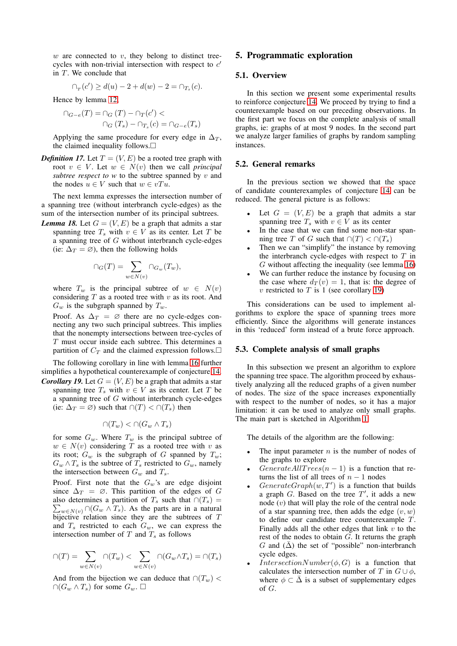w are connected to v, they belong to distinct treecycles with non-trivial intersection with respect to  $c'$ in  $T$ . We conclude that

$$
\cap_{T}(c') \ge d(u) - 2 + d(w) - 2 = \cap_{T_s}(c).
$$

Hence by lemma [12,](#page-6-0)

$$
\bigcap_{G-e}(T) = \bigcap_G (T) - \bigcap_T (c') < \\
\bigcap_G (T_s) - \bigcap_{T_s}(c) = \bigcap_{G-e}(T_s)
$$

Applying the same procedure for every edge in  $\Delta_T$ , the claimed inequality follows.

*Definition 17.* Let  $T = (V, E)$  be a rooted tree graph with root  $v \in V$ . Let  $w \in N(v)$  then we call *principal subtree respect to*  $w$  to the subtree spanned by  $v$  and the nodes  $u \in V$  such that  $w \in vTu$ .

The next lemma expresses the intersection number of a spanning tree (without interbranch cycle-edges) as the sum of the intersection number of its principal subtrees.

*Lemma 18.* Let  $G = (V, E)$  be a graph that admits a star spanning tree  $T_s$  with  $v \in V$  as its center. Let T be a spanning tree of G without interbranch cycle-edges (ie:  $\Delta_T = \emptyset$ ), then the following holds

$$
\cap_G(T) = \sum_{w \in N(v)} \cap_{G_w}(T_w),
$$

where  $T_w$  is the principal subtree of  $w \in N(v)$ considering  $T$  as a rooted tree with  $v$  as its root. And  $G_w$  is the subgraph spanned by  $T_w$ .

Proof. As  $\Delta_T = \emptyset$  there are no cycle-edges connecting any two such principal subtrees. This implies that the nonempty intersections between tree-cycles of T must occur inside each subtree. This determines a partition of  $C_T$  and the claimed expression follows.  $\square$ 

The following corollary in line with lemma [16](#page-7-1) further simplifies a hypothetical counterexample of conjecture [14.](#page-7-0)

<span id="page-8-0"></span>*Corollary 19.* Let  $G = (V, E)$  be a graph that admits a star spanning tree  $T_s$  with  $v \in V$  as its center. Let T be a spanning tree of G without interbranch cycle-edges (ie:  $\Delta_T = \emptyset$ ) such that  $\bigcap(T) < \bigcap(T_s)$  then

$$
\cap (T_w) < \cap (G_w \wedge T_s)
$$

for some  $G_w$ . Where  $T_w$  is the principal subtree of  $w \in N(v)$  considering T as a rooted tree with v as its root;  $G_w$  is the subgraph of G spanned by  $T_w$ ;  $G_w \wedge T_s$  is the subtree of  $T_s$  restricted to  $G_w$ , namely the intersection between  $G_w$  and  $T_s$ .

Proof. First note that the  $G_w$ 's are edge disjoint since  $\Delta_T = \emptyset$ . This partition of the edges of G also determines a partition of  $T_s$  such that  $\cap (T_s) =$  $\sum_{w \in N(v)} \bigcap (G_w \land T_s)$ . As the parts are in a natural bijective relation since they are the subtrees of  $T$ and  $T_s$  restricted to each  $G_w$ , we can express the intersection number of  $T$  and  $T_s$  as follows

$$
\cap(T) = \sum_{w \in N(v)} \cap(T_w) < \sum_{w \in N(v)} \cap (G_w \wedge T_s) = \cap(T_s)
$$

And from the bijection we can deduce that  $\cap (T_w)$  <  $∩(G_w \wedge T_s)$  for some  $G_w$ .  $□$ 

# 5. Programmatic exploration

# 5.1. Overview

In this section we present some experimental results to reinforce conjecture [14.](#page-7-0) We proceed by trying to find a counterexample based on our preceding observations. In the first part we focus on the complete analysis of small graphs, ie: graphs of at most 9 nodes. In the second part we analyze larger families of graphs by random sampling instances.

# 5.2. General remarks

In the previous section we showed that the space of candidate counterexamples of conjecture [14](#page-7-0) can be reduced. The general picture is as follows:

- Let  $G = (V, E)$  be a graph that admits a star spanning tree  $T_s$  with  $v \in V$  as its center
- In the case that we can find some non-star spanning tree T of G such that  $\cap$   $(T)$  <  $\cap$   $(T_s)$
- Then we can "simplify" the instance by removing the interbranch cycle-edges with respect to  $T$  in  $G$  without affecting the inequality (see lemma [16\)](#page-7-1)
- We can further reduce the instance by focusing on the case where  $d_T(v) = 1$ , that is: the degree of v restricted to T is 1 (see corollary [19\)](#page-8-0)

This considerations can be used to implement algorithms to explore the space of spanning trees more efficiently. Since the algorithms will generate instances in this 'reduced' form instead of a brute force approach.

### 5.3. Complete analysis of small graphs

In this subsection we present an algorithm to explore the spanning tree space. The algorithm proceed by exhaustively analyzing all the reduced graphs of a given number of nodes. The size of the space increases exponentially with respect to the number of nodes, so it has a major limitation: it can be used to analyze only small graphs. The main part is sketched in Algorithm [1.](#page-9-0)

The details of the algorithm are the following:

- The input parameter  $n$  is the number of nodes of the graphs to explore
- GenerateAllTrees $(n-1)$  is a function that returns the list of all trees of  $n - 1$  nodes
- GenerateGraph $(w, T')$  is a function that builds a graph  $G$ . Based on the tree  $T'$ , it adds a new node  $(v)$  that will play the role of the central node of a star spanning tree, then adds the edge  $(v, w)$ to define our candidate tree counterexample  $T$ . Finally adds all the other edges that link  $v$  to the rest of the nodes to obtain  $G$ . It returns the graph G and  $(\bar{\Delta})$  the set of "possible" non-interbranch cycle edges.
- *IntersectionNumber(* $\phi$ *, G)* is a function that calculates the intersection number of T in  $G \cup \phi$ , where  $\phi \subset \bar{\Delta}$  is a subset of supplementary edges of G.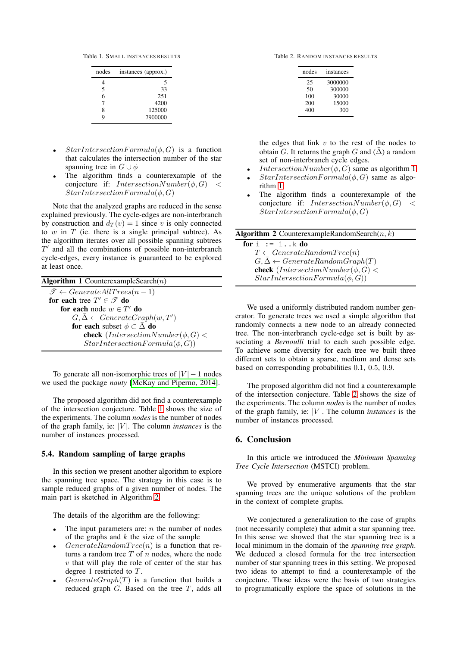Table 1. SMALL INSTANCES RESULTS

<span id="page-9-1"></span>

| nodes | instances (approx.) |
|-------|---------------------|
|       | 5                   |
| 5     | 33                  |
| 6     | 251                 |
| 7     | 4200                |
| 8     | 125000              |
| Q     | 7900000             |

- $StarIntersectionFormula(\phi, G)$  is a function that calculates the intersection number of the star spanning tree in  $G \cup \phi$
- The algorithm finds a counterexample of the conjecture if:  $IntersectionNumber(\phi, G)$  <  $StarIntersection Formula(\phi, G)$

Note that the analyzed graphs are reduced in the sense explained previously. The cycle-edges are non-interbranch by construction and  $d_T(v) = 1$  since v is only connected to  $w$  in  $T$  (ie. there is a single principal subtree). As the algorithm iterates over all possible spanning subtrees  $T'$  and all the combinations of possible non-interbranch cycle-edges, every instance is guaranteed to be explored at least once.

<span id="page-9-0"></span>

|  |  | Algorithm 1 CounterexampleSearch $(n)$ |  |
|--|--|----------------------------------------|--|
|--|--|----------------------------------------|--|

 $\mathscr{T} \leftarrow GenerateAll Trees(n-1)$ for each tree  $T' \in \mathscr{T}$  do for each node  $w \in T'$  do  $G, \bar{\Delta} \leftarrow GenerateGraph(w, T')$ for each subset  $\phi \subset \bar{\Delta}$  do **check** (*IntersectionNumber*( $\phi$ , *G*) <  $StarIntersection Formula(\phi, G))$ 

To generate all non-isomorphic trees of  $|V| - 1$  nodes we used the package *nauty* [\[McKay and Piperno, 2014\]](#page-10-8).

The proposed algorithm did not find a counterexample of the intersection conjecture. Table [1](#page-9-1) shows the size of the experiments. The column *nodes* is the number of nodes of the graph family, ie: |V |. The column *instances* is the number of instances processed.

### 5.4. Random sampling of large graphs

In this section we present another algorithm to explore the spanning tree space. The strategy in this case is to sample reduced graphs of a given number of nodes. The main part is sketched in Algorithm [2.](#page-9-2)

The details of the algorithm are the following:

- The input parameters are:  $n$  the number of nodes of the graphs and  $k$  the size of the sample
- $GenerateRandomTree(n)$  is a function that returns a random tree  $T$  of  $n$  nodes, where the node  $v$  that will play the role of center of the star has degree 1 restricted to  $T$ .
- $GenerateGraph(T)$  is a function that builds a reduced graph  $G$ . Based on the tree  $T$ , adds all

Table 2. RANDOM INSTANCES RESULTS

<span id="page-9-3"></span>

| nodes | instances |
|-------|-----------|
| 25    | 3000000   |
| 50    | 300000    |
| 100   | 30000     |
| 200   | 15000     |
| 400   | 300       |

the edges that link  $v$  to the rest of the nodes to obtain G. It returns the graph G and  $(\bar{\Delta})$  a random set of non-interbranch cycle edges.

- $IntersectionNumber(\phi, G)$  same as algorithm [1](#page-9-0)
- $StarIntersectionFormula(\phi, G)$  same as algorithm [1](#page-9-0)
- The algorithm finds a counterexample of the conjecture if: *IntersectionNumber(* $\phi$ *, G) <*  $StarIntersection Formula(\phi, G)$

<span id="page-9-2"></span>

| <b>Algorithm 2</b> CounterexampleRandomSearch $(n, k)$           |  |
|------------------------------------------------------------------|--|
| for $i := 1k$ do                                                 |  |
| $T \leftarrow GenerateRandomTree(n)$                             |  |
| $G, \bar{\Delta} \leftarrow GenerateRandomGraph(T)$              |  |
| <b>check</b> ( <i>IntersectionNumber</i> ( $\phi$ , <i>G</i> ) < |  |
| $StarIntersectionFormula(\phi, G))$                              |  |

We used a uniformly distributed random number generator. To generate trees we used a simple algorithm that randomly connects a new node to an already connected tree. The non-interbranch cycle-edge set is built by associating a *Bernoulli* trial to each such possible edge. To achieve some diversity for each tree we built three different sets to obtain a sparse, medium and dense sets based on corresponding probabilities 0.1, 0.5, 0.9.

The proposed algorithm did not find a counterexample of the intersection conjecture. Table [2](#page-9-3) shows the size of the experiments. The column *nodes* is the number of nodes of the graph family, ie:  $|V|$ . The column *instances* is the number of instances processed.

# 6. Conclusion

In this article we introduced the *Minimum Spanning Tree Cycle Intersection* (MSTCI) problem.

We proved by enumerative arguments that the star spanning trees are the unique solutions of the problem in the context of complete graphs.

We conjectured a generalization to the case of graphs (not necessarily complete) that admit a star spanning tree. In this sense we showed that the star spanning tree is a local minimum in the domain of the *spanning tree graph*. We deduced a closed formula for the tree intersection number of star spanning trees in this setting. We proposed two ideas to attempt to find a counterexample of the conjecture. Those ideas were the basis of two strategies to programatically explore the space of solutions in the